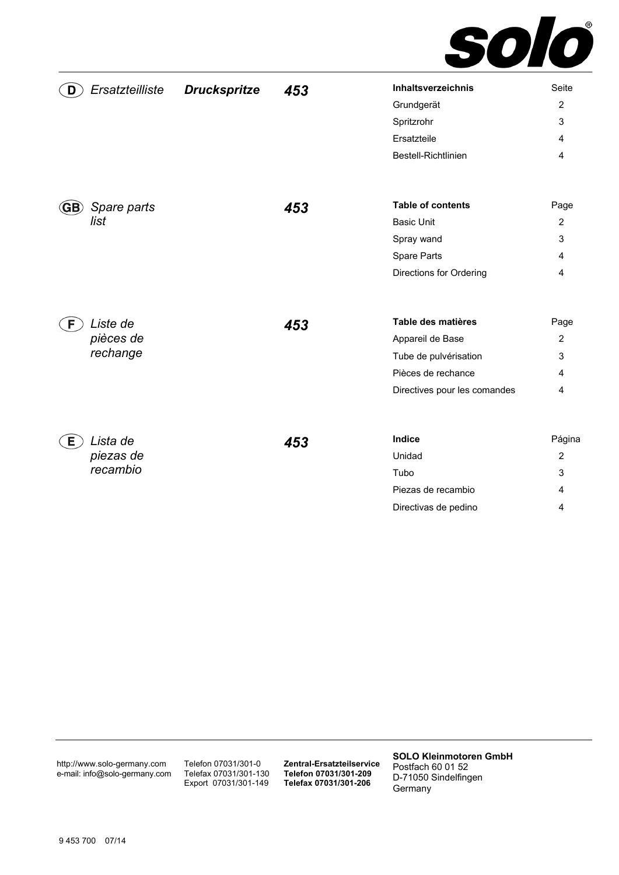

| Ersatzteilliste<br>D           | <b>Druckspritze</b> | 453 | Inhaltsverzeichnis           | Seite          |
|--------------------------------|---------------------|-----|------------------------------|----------------|
|                                |                     |     | Grundgerät                   | $\overline{2}$ |
|                                |                     |     | Spritzrohr                   | 3              |
|                                |                     |     | Ersatzteile                  | 4              |
|                                |                     |     | Bestell-Richtlinien          | 4              |
| Spare parts<br>$\mathbf{(GB)}$ |                     | 453 | <b>Table of contents</b>     | Page           |
| list                           |                     |     | <b>Basic Unit</b>            | $\overline{2}$ |
|                                |                     |     | Spray wand                   | 3              |
|                                |                     |     | Spare Parts                  | 4              |
|                                |                     |     | Directions for Ordering      | 4              |
|                                |                     |     |                              |                |
| Liste de<br>F                  |                     | 453 | Table des matières           | Page           |
| pièces de                      |                     |     | Appareil de Base             | $\overline{2}$ |
| rechange                       |                     |     | Tube de pulvérisation        | 3              |
|                                |                     |     | Pièces de rechance           | 4              |
|                                |                     |     | Directives pour les comandes | 4              |
| Lista de<br>E                  |                     | 453 | Indice                       | Página         |
| piezas de                      |                     |     | Unidad                       | $\overline{2}$ |
| recambio                       |                     |     | Tubo                         | 3              |
|                                |                     |     | Piezas de recambio           | 4              |
|                                |                     |     | Directivas de pedino         | 4              |

http://www.solo-germany.com e-mail: info@solo-germany.com Telefon 07031/301-0 Telefax 07031/301-130 Export 07031/301-149

**Zentral-Ersatzteilservice Telefon 07031/301-209 Telefax 07031/301-206**

**SOLO Kleinmotoren GmbH**  Postfach 60 01 52 D-71050 Sindelfingen Germany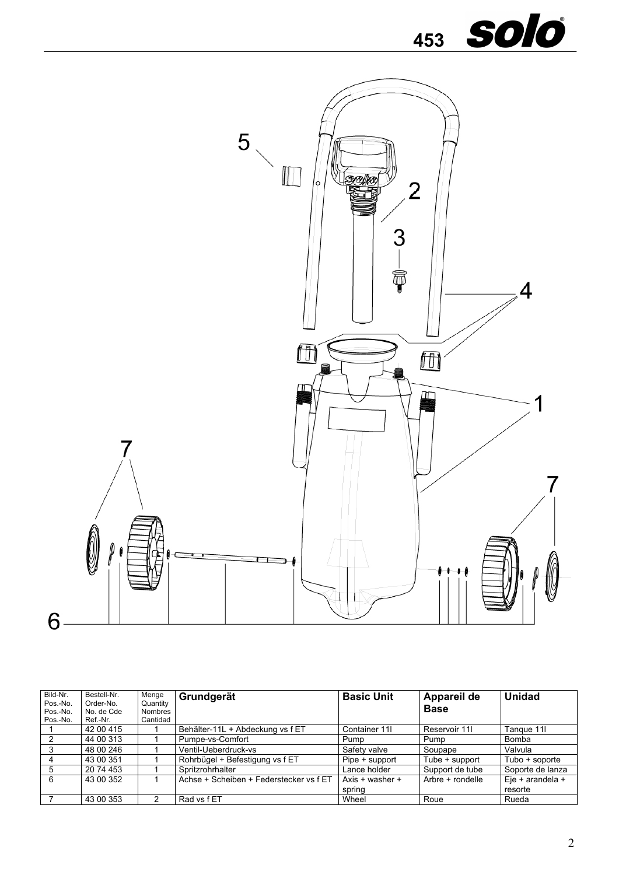



| Bild-Nr.<br>Pos.-No.<br>Pos.-No.<br>Pos.-No. | Bestell-Nr.<br>Order-No.<br>No. de Cde<br>Ref.-Nr. | Menge<br>Quantity<br>Nombres<br>Cantidad | Grundgerät                              | <b>Basic Unit</b> | Appareil de<br><b>Base</b> | <b>Unidad</b>    |
|----------------------------------------------|----------------------------------------------------|------------------------------------------|-----------------------------------------|-------------------|----------------------------|------------------|
|                                              | 42 00 415                                          |                                          | Behälter-11L + Abdeckung vs f ET        | Container 11      | Reservoir 11               | Tangue 11        |
|                                              | 44 00 313                                          |                                          | Pumpe-vs-Comfort                        | Pump              | Pump                       | Bomba            |
|                                              | 48 00 246                                          |                                          | Ventil-Ueberdruck-vs                    | Safety valve      | Soupape                    | Valvula          |
|                                              | 43 00 351                                          |                                          | Rohrbügel + Befestigung vs f ET         | Pipe + support    | Tube + support             | Tubo + soporte   |
| 5                                            | 20 74 453                                          |                                          | Spritzrohrhalter                        | Lance holder      | Support de tube            | Soporte de lanza |
| 6                                            | 43 00 352                                          |                                          | Achse + Scheiben + Federstecker vs f ET | Axis + washer +   | Arbre + rondelle           | Eje + arandela + |
|                                              |                                                    |                                          |                                         | spring            |                            | resorte          |
|                                              | 43 00 353                                          |                                          | Rad vs f ET                             | Wheel             | Roue                       | Rueda            |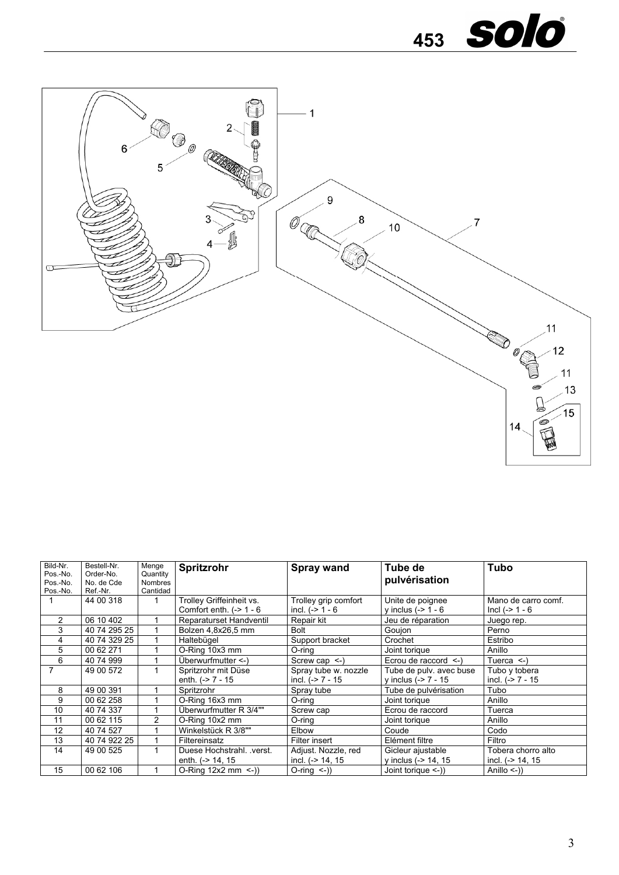



| Bild-Nr.<br>Pos.-No.<br>Pos.-No.<br>Pos.-No. | Bestell-Nr.<br>Order-No.<br>No. de Cde<br>Ref.-Nr. | Menge<br>Quantity<br><b>Nombres</b><br>Cantidad | Spritzrohr                                            | <b>Spray wand</b>                           | Tube de<br>pulvérisation                          | Tubo                                     |
|----------------------------------------------|----------------------------------------------------|-------------------------------------------------|-------------------------------------------------------|---------------------------------------------|---------------------------------------------------|------------------------------------------|
|                                              | 44 00 318                                          |                                                 | Trolley Griffeinheit vs.<br>Comfort enth. $(-> 1 - 6$ | Trolley grip comfort<br>incl. $(-2)$ 1 - 6  | Unite de poignee<br>y inclus $(-2 1 - 6$          | Mano de carro comf.<br>$Incl (-> 1 - 6)$ |
| 2                                            | 06 10 402                                          |                                                 | Reparaturset Handventil                               | Repair kit                                  | Jeu de réparation                                 | Juego rep.                               |
| 3                                            | 40 74 295 25                                       |                                                 | Bolzen 4,8x26,5 mm                                    | Bolt                                        | Goujon                                            | Perno                                    |
| 4                                            | 40 74 329 25                                       |                                                 | Haltebügel                                            | Support bracket                             | Crochet                                           | Estribo                                  |
| 5                                            | 00 62 271                                          |                                                 | O-Ring 10x3 mm                                        | O-ring                                      | Joint torique                                     | Anillo                                   |
| 6                                            | 40 74 999                                          |                                                 | Überwurfmutter $\leq$ )                               | Screw cap $\le$ -)                          | Ecrou de raccord $\le$ -)                         | Tuerca $\leq$ -)                         |
|                                              | 49 00 572                                          |                                                 | Spritzrohr mit Düse<br>enth. $(-2)$ 7 - 15            | Spray tube w. nozzle<br>incl. $(-2)$ 7 - 15 | Tube de pulv. avec buse<br>y inclus $(-2)$ 7 - 15 | Tubo y tobera<br>incl. $(-2)$ 7 - 15     |
| 8                                            | 49 00 391                                          |                                                 | Spritzrohr                                            | Spray tube                                  | Tube de pulvérisation                             | Tubo                                     |
| 9                                            | 00 62 258                                          |                                                 | O-Ring 16x3 mm                                        | O-ring                                      | Joint torique                                     | Anillo                                   |
| 10                                           | 40 74 337                                          |                                                 | Überwurfmutter R 3/4""                                | Screw cap                                   | Ecrou de raccord                                  | Tuerca                                   |
| 11                                           | 00 62 115                                          | 2                                               | O-Ring 10x2 mm                                        | $O$ -ring                                   | Joint torique                                     | Anillo                                   |
| 12                                           | 40 74 527                                          |                                                 | Winkelstück R 3/8""                                   | Elbow                                       | Coude                                             | Codo                                     |
| 13                                           | 40 74 922 25                                       |                                                 | Filtereinsatz                                         | Filter insert                               | Elément filtre                                    | Filtro                                   |
| 14                                           | 49 00 525                                          |                                                 | Duese Hochstrahl. . verst.                            | Adjust. Nozzle, red                         | Gicleur ajustable                                 | Tobera chorro alto                       |
|                                              |                                                    |                                                 | enth. (-> 14, 15                                      | incl. $(-> 14, 15)$                         | y inclus (-> 14, 15                               | incl. (-> 14, 15                         |
| 15                                           | 00 62 106                                          |                                                 | O-Ring $12x2$ mm <-))                                 | $O\text{-ring}(-)$                          | Joint torique $\le$ -))                           | Anillo $\leq$ -))                        |